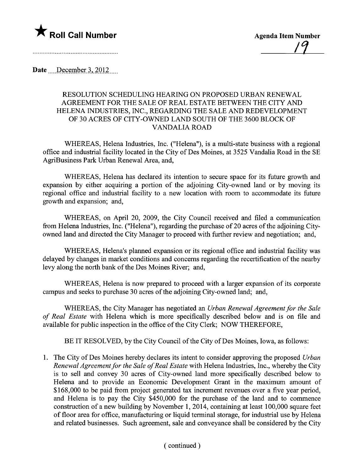

Date December 3,  $2012$ 

## RESOLUTION SCHEDULING HEARING ON PROPOSED URBAN RENEWAL AGREEMENT FOR THE SALE OF REAL ESTATE BETWEEN THE CITY AND HELENA INDUSTRIES, INC., REGARDING THE SALE AND REDEVELOPMENT OF 30 ACRES OF CITY -OWNED LAND SOUTH OF THE 3600 BLOCK OF VANDALIA ROAD

WHEREAS, Helena Industries, Inc. ("Helena"), is a multi-state business with a regional office and industrial facility located in the City of Des Moines, at 3525 Vandalia Road in the SE AgriBusiness Park Urban Renewal Area, and,

WHEREAS, Helena has declared its intention to secure space for its future growth and expansion by either acquiring a portion of the adjoining City-owned land or by moving its regional office and industrial facility to a new location with room to accommodate its future growth and expansion; and,

WHEREAS, on April 20, 2009, the City Council received and fied a communication from Helena Industries, Inc. ("Helena"), regarding the purchase of 20 acres of the adjoining Cityowned land and directed the City Manager to proceed with further review and negotiation; and,

WHEREAS, Helena's planned expansion or its regional office and industrial facility was delayed by changes in market conditions and concerns regarding the recertification of the nearby levy along the north bank of the Des Moines River; and,

WHEREAS, Helena is now prepared to proceed with a larger expansion of its corporate campus and seeks to purchase 30 acres of the adjoining City-owned land; and,

WHEREAS, the City Manager has negotiated an Urban Renewal Agreement for the Sale of Real Estate with Helena which is more specifically described below and is on file and available for public inspection in the office of the City Clerk; NOW THEREFORE,

BE IT RESOLVED, by the City Council of the City of Des Moines, Iowa, as follows:

1. The City of Des Moines hereby declares its intent to consider approving the proposed Urban Renewal Agreement for the Sale of Real Estate with Helena Industries, Inc., whereby the City is to sell and convey 30 acres of City-owned land more specifically described below to Helena and to provide an Economic Development Grant in the maximum amount of \$168,000 to be paid from project generated tax increment revenues over a five year period, and Helena is to pay the City \$450,000 for the purchase of the land and to commence construction of a new building by November 1, 2014, containing at least 100,000 square feet of floor area for office, manufacturing or liquid terminal storage, for industrial use by Helena and related businesses. Such agreement, sale and conveyance shall be considered by the City